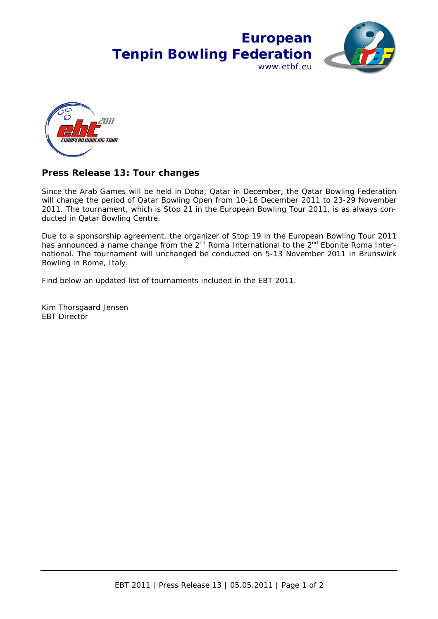



## **Press Release 13: Tour changes**

Since the Arab Games will be held in Doha, Qatar in December, the Qatar Bowling Federation will change the period of Qatar Bowling Open from 10-16 December 2011 to 23-29 November 2011. The tournament, which is Stop 21 in the European Bowling Tour 2011, is as always conducted in Qatar Bowling Centre.

Due to a sponsorship agreement, the organizer of Stop 19 in the European Bowling Tour 2011 has announced a name change from the  $2^{nd}$  Roma International to the  $2^{nd}$  Ebonite Roma International. The tournament will unchanged be conducted on 5-13 November 2011 in Brunswick Bowling in Rome, Italy.

Find below an updated list of tournaments included in the EBT 2011.

Kim Thorsgaard Jensen EBT Director